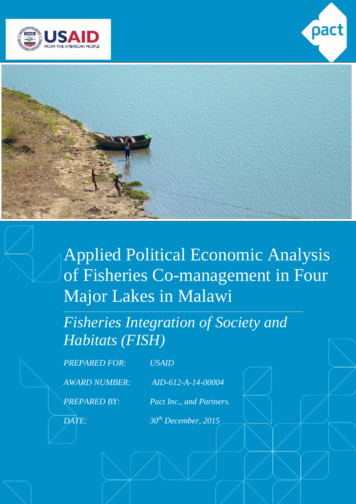





Applied Political Economic Analysis of Fisheries Co-management in Four Major Lakes in Malawi

*Fisheries Integration of Society and Habitats (FISH)*

*\_\_\_\_\_\_\_\_\_\_\_\_\_\_\_\_\_\_\_\_\_\_\_\_\_\_\_\_\_\_\_\_\_\_\_\_\_\_\_\_\_\_\_\_\_\_\_\_\_\_\_\_\_\_\_\_\_\_\_\_\_\_\_\_\_\_\_\_\_\_\_\_\_\_\_\_\_\_\_\_*

*PREPARED FOR: USAID*

*AWARD NUMBER: AID-612-A-14-00004*

*PREPARED BY: Pact Inc., and Partners.*

*DATE: 30th December, 2015*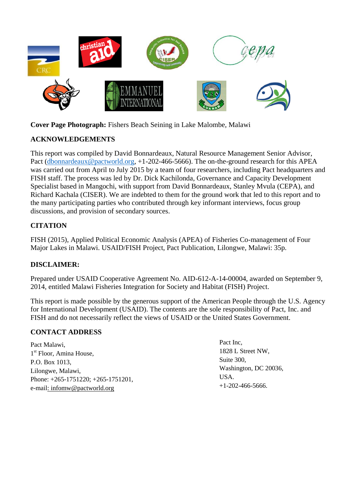

**Cover Page Photograph:** Fishers Beach Seining in Lake Malombe, Malawi

## **ACKNOWLEDGEMENTS**

This report was compiled by David Bonnardeaux, Natural Resource Management Senior Advisor, Pact [\(dbonnardeaux@pactworld.org,](mailto:dbonnardeaux@pactworld.org) +1-202-466-5666). The on-the-ground research for this APEA was carried out from April to July 2015 by a team of four researchers, including Pact headquarters and FISH staff. The process was led by Dr. Dick Kachilonda, Governance and Capacity Development Specialist based in Mangochi, with support from David Bonnardeaux, Stanley Mvula (CEPA), and Richard Kachala (CISER). We are indebted to them for the ground work that led to this report and to the many participating parties who contributed through key informant interviews, focus group discussions, and provision of secondary sources.

## **CITATION**

FISH (2015), Applied Political Economic Analysis (APEA) of Fisheries Co-management of Four Major Lakes in Malawi. USAID/FISH Project, Pact Publication, Lilongwe, Malawi: 35p.

## **DISCLAIMER:**

Prepared under USAID Cooperative Agreement No. AID-612-A-14-00004, awarded on September 9, 2014, entitled Malawi Fisheries Integration for Society and Habitat (FISH) Project.

This report is made possible by the generous support of the American People through the U.S. Agency for International Development (USAID). The contents are the sole responsibility of Pact, Inc. and FISH and do not necessarily reflect the views of USAID or the United States Government.

## **CONTACT ADDRESS**

Pact Malawi, 1<sup>st</sup> Floor, Amina House, P.O. Box 1013, Lilongwe, Malawi, Phone: +265-1751220; +265-1751201, e-mail: [infomw@pactworld.org](mailto:infomw@pactworld.org)

Pact Inc, 1828 L Street NW, Suite 300, Washington, DC 20036, USA.  $+1-202-466-5666$ .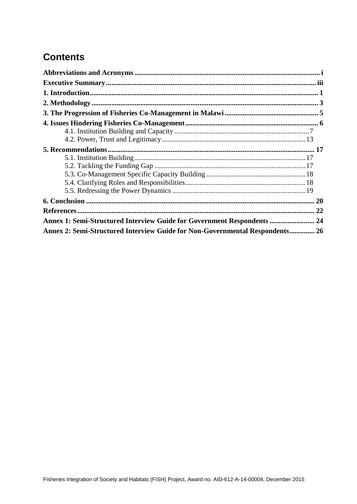# **Contents**

| Annex 1: Semi-Structured Interview Guide for Government Respondents  24      |  |
|------------------------------------------------------------------------------|--|
| Annex 2: Semi-Structured Interview Guide for Non-Governmental Respondents 26 |  |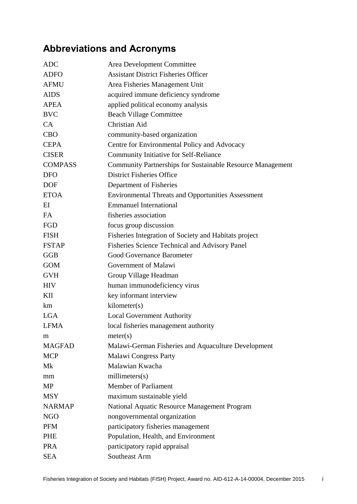# <span id="page-3-0"></span>**Abbreviations and Acronyms**

| <b>ADC</b>     | Area Development Committee                                        |
|----------------|-------------------------------------------------------------------|
| <b>ADFO</b>    | <b>Assistant District Fisheries Officer</b>                       |
| <b>AFMU</b>    | Area Fisheries Management Unit                                    |
| <b>AIDS</b>    | acquired immune deficiency syndrome                               |
| <b>APEA</b>    | applied political economy analysis                                |
| <b>BVC</b>     | <b>Beach Village Committee</b>                                    |
| CA             | Christian Aid                                                     |
| <b>CBO</b>     | community-based organization                                      |
| <b>CEPA</b>    | Centre for Environmental Policy and Advocacy                      |
| <b>CISER</b>   | Community Initiative for Self-Reliance                            |
| <b>COMPASS</b> | <b>Community Partnerships for Sustainable Resource Management</b> |
| <b>DFO</b>     | <b>District Fisheries Office</b>                                  |
| <b>DOF</b>     | Department of Fisheries                                           |
| <b>ETOA</b>    | <b>Environmental Threats and Opportunities Assessment</b>         |
| EI             | <b>Emmanuel International</b>                                     |
| <b>FA</b>      | fisheries association                                             |
| <b>FGD</b>     | focus group discussion                                            |
| <b>FISH</b>    | Fisheries Integration of Society and Habitats project             |
| <b>FSTAP</b>   | <b>Fisheries Science Technical and Advisory Panel</b>             |
| <b>GGB</b>     | <b>Good Governance Barometer</b>                                  |
| <b>GOM</b>     | Government of Malawi                                              |
| <b>GVH</b>     | Group Village Headman                                             |
| <b>HIV</b>     | human immunodeficiency virus                                      |
| KII            | key informant interview                                           |
| km             | kilometer(s)                                                      |
| <b>LGA</b>     | <b>Local Government Authority</b>                                 |
| <b>LFMA</b>    | local fisheries management authority                              |
| m              | meter(s)                                                          |
| <b>MAGFAD</b>  | Malawi-German Fisheries and Aquaculture Development               |
| <b>MCP</b>     | <b>Malawi Congress Party</b>                                      |
| Mk             | Malawian Kwacha                                                   |
| mm             | millimeters(s)                                                    |
| <b>MP</b>      | <b>Member of Parliament</b>                                       |
| <b>MSY</b>     | maximum sustainable yield                                         |
| <b>NARMAP</b>  | National Aquatic Resource Management Program                      |
| <b>NGO</b>     | nongovernmental organization                                      |
| <b>PFM</b>     | participatory fisheries management                                |
| PHE            | Population, Health, and Environment                               |
| <b>PRA</b>     | participatory rapid appraisal                                     |
| <b>SEA</b>     | Southeast Arm                                                     |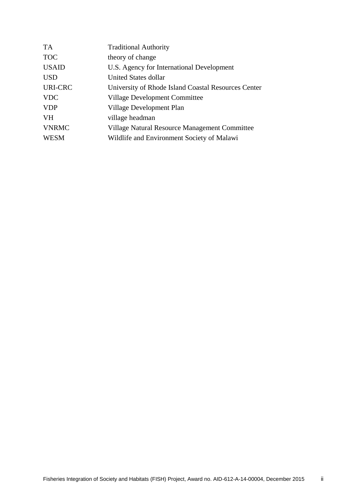| <b>TA</b>      | <b>Traditional Authority</b>                        |
|----------------|-----------------------------------------------------|
| <b>TOC</b>     | theory of change                                    |
| <b>USAID</b>   | U.S. Agency for International Development           |
| <b>USD</b>     | United States dollar                                |
| <b>URI-CRC</b> | University of Rhode Island Coastal Resources Center |
| <b>VDC</b>     | <b>Village Development Committee</b>                |
| <b>VDP</b>     | Village Development Plan                            |
| <b>VH</b>      | village headman                                     |
| <b>VNRMC</b>   | Village Natural Resource Management Committee       |
| <b>WESM</b>    | Wildlife and Environment Society of Malawi          |
|                |                                                     |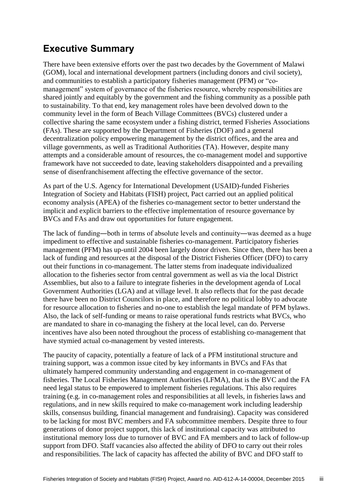# <span id="page-5-0"></span>**Executive Summary**

There have been extensive efforts over the past two decades by the Government of Malawi (GOM), local and international development partners (including donors and civil society), and communities to establish a participatory fisheries management (PFM) or "comanagement" system of governance of the fisheries resource, whereby responsibilities are shared jointly and equitably by the government and the fishing community as a possible path to sustainability. To that end, key management roles have been devolved down to the community level in the form of Beach Village Committees (BVCs) clustered under a collective sharing the same ecosystem under a fishing district, termed Fisheries Associations (FAs). These are supported by the Department of Fisheries (DOF) and a general decentralization policy empowering management by the district offices, and the area and village governments, as well as Traditional Authorities (TA). However, despite many attempts and a considerable amount of resources, the co-management model and supportive framework have not succeeded to date, leaving stakeholders disappointed and a prevailing sense of disenfranchisement affecting the effective governance of the sector.

As part of the U.S. Agency for International Development (USAID)-funded Fisheries Integration of Society and Habitats (FISH) project, Pact carried out an applied political economy analysis (APEA) of the fisheries co-management sector to better understand the implicit and explicit barriers to the effective implementation of resource governance by BVCs and FAs and draw out opportunities for future engagement.

The lack of funding―both in terms of absolute levels and continuity―was deemed as a huge impediment to effective and sustainable fisheries co-management. Participatory fisheries management (PFM) has up-until 2004 been largely donor driven. Since then, there has been a lack of funding and resources at the disposal of the District Fisheries Officer (DFO) to carry out their functions in co-management. The latter stems from inadequate individualized allocation to the fisheries sector from central government as well as via the local District Assemblies, but also to a failure to integrate fisheries in the development agenda of Local Government Authorities (LGA) and at village level. It also reflects that for the past decade there have been no District Councilors in place, and therefore no political lobby to advocate for resource allocation to fisheries and no-one to establish the legal mandate of PFM bylaws. Also, the lack of self-funding or means to raise operational funds restricts what BVCs, who are mandated to share in co-managing the fishery at the local level, can do. Perverse incentives have also been noted throughout the process of establishing co-management that have stymied actual co-management by vested interests.

The paucity of capacity, potentially a feature of lack of a PFM institutional structure and training support, was a common issue cited by key informants in BVCs and FAs that ultimately hampered community understanding and engagement in co-management of fisheries. The Local Fisheries Management Authorities (LFMA), that is the BVC and the FA need legal status to be empowered to implement fisheries regulations. This also requires training (e.g. in co-management roles and responsibilities at all levels, in fisheries laws and regulations, and in new skills required to make co-management work including leadership skills, consensus building, financial management and fundraising). Capacity was considered to be lacking for most BVC members and FA subcommittee members. Despite three to four generations of donor project support, this lack of institutional capacity was attributed to institutional memory loss due to turnover of BVC and FA members and to lack of follow-up support from DFO. Staff vacancies also affected the ability of DFO to carry out their roles and responsibilities. The lack of capacity has affected the ability of BVC and DFO staff to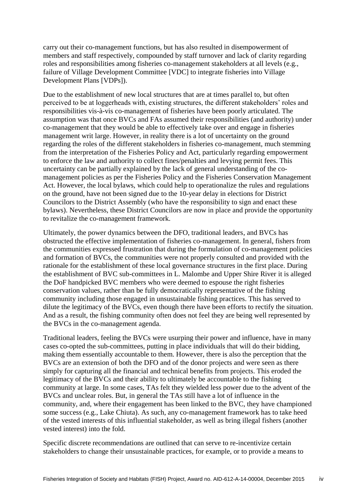carry out their co-management functions, but has also resulted in disempowerment of members and staff respectively, compounded by staff turnover and lack of clarity regarding roles and responsibilities among fisheries co-management stakeholders at all levels (e.g., failure of Village Development Committee [VDC] to integrate fisheries into Village Development Plans [VDPs]).

Due to the establishment of new local structures that are at times parallel to, but often perceived to be at loggerheads with, existing structures, the different stakeholders' roles and responsibilities vis-à-vis co-management of fisheries have been poorly articulated. The assumption was that once BVCs and FAs assumed their responsibilities (and authority) under co-management that they would be able to effectively take over and engage in fisheries management writ large. However, in reality there is a lot of uncertainty on the ground regarding the roles of the different stakeholders in fisheries co-management, much stemming from the interpretation of the Fisheries Policy and Act, particularly regarding empowerment to enforce the law and authority to collect fines/penalties and levying permit fees. This uncertainty can be partially explained by the lack of general understanding of the comanagement policies as per the Fisheries Policy and the Fisheries Conservation Management Act. However, the local bylaws, which could help to operationalize the rules and regulations on the ground, have not been signed due to the 10-year delay in elections for District Councilors to the District Assembly (who have the responsibility to sign and enact these bylaws). Nevertheless, these District Councilors are now in place and provide the opportunity to revitalize the co-management framework.

Ultimately, the power dynamics between the DFO, traditional leaders, and BVCs has obstructed the effective implementation of fisheries co-management. In general, fishers from the communities expressed frustration that during the formulation of co-management policies and formation of BVCs, the communities were not properly consulted and provided with the rationale for the establishment of these local governance structures in the first place. During the establishment of BVC sub-committees in L. Malombe and Upper Shire River it is alleged the DoF handpicked BVC members who were deemed to espouse the right fisheries conservation values, rather than be fully democratically representative of the fishing community including those engaged in unsustainable fishing practices. This has served to dilute the legitimacy of the BVCs, even though there have been efforts to rectify the situation. And as a result, the fishing community often does not feel they are being well represented by the BVCs in the co-management agenda.

Traditional leaders, feeling the BVCs were usurping their power and influence, have in many cases co-opted the sub-committees, putting in place individuals that will do their bidding, making them essentially accountable to them. However, there is also the perception that the BVCs are an extension of both the DFO and of the donor projects and were seen as there simply for capturing all the financial and technical benefits from projects. This eroded the legitimacy of the BVCs and their ability to ultimately be accountable to the fishing community at large. In some cases, TAs felt they wielded less power due to the advent of the BVCs and unclear roles. But, in general the TAs still have a lot of influence in the community, and, where their engagement has been linked to the BVC, they have championed some success (e.g., Lake Chiuta). As such, any co-management framework has to take heed of the vested interests of this influential stakeholder, as well as bring illegal fishers (another vested interest) into the fold.

Specific discrete recommendations are outlined that can serve to re-incentivize certain stakeholders to change their unsustainable practices, for example, or to provide a means to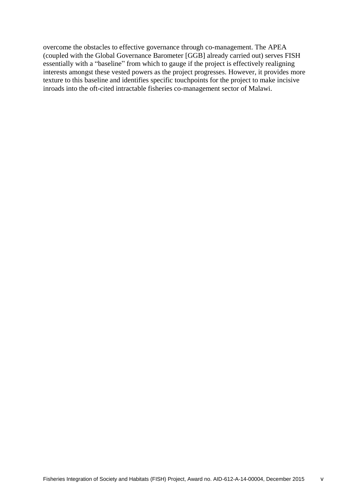overcome the obstacles to effective governance through co-management. The APEA (coupled with the Global Governance Barometer [GGB] already carried out) serves FISH essentially with a "baseline" from which to gauge if the project is effectively realigning interests amongst these vested powers as the project progresses. However, it provides more texture to this baseline and identifies specific touchpoints for the project to make incisive inroads into the oft-cited intractable fisheries co-management sector of Malawi.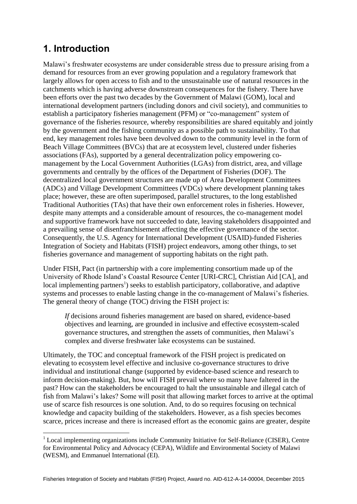## <span id="page-8-0"></span>**1. Introduction**

1

Malawi's freshwater ecosystems are under considerable stress due to pressure arising from a demand for resources from an ever growing population and a regulatory framework that largely allows for open access to fish and to the unsustainable use of natural resources in the catchments which is having adverse downstream consequences for the fishery. There have been efforts over the past two decades by the Government of Malawi (GOM), local and international development partners (including donors and civil society), and communities to establish a participatory fisheries management (PFM) or "co-management" system of governance of the fisheries resource, whereby responsibilities are shared equitably and jointly by the government and the fishing community as a possible path to sustainability. To that end, key management roles have been devolved down to the community level in the form of Beach Village Committees (BVCs) that are at ecosystem level, clustered under fisheries associations (FAs), supported by a general decentralization policy empowering comanagement by the Local Government Authorities (LGAs) from district, area, and village governments and centrally by the offices of the Department of Fisheries (DOF). The decentralized local government structures are made up of Area Development Committees (ADCs) and Village Development Committees (VDCs) where development planning takes place; however, these are often superimposed, parallel structures, to the long established Traditional Authorities (TAs) that have their own enforcement roles in fisheries. However, despite many attempts and a considerable amount of resources, the co-management model and supportive framework have not succeeded to date, leaving stakeholders disappointed and a prevailing sense of disenfranchisement affecting the effective governance of the sector. Consequently, the U.S. Agency for International Development (USAID)-funded Fisheries Integration of Society and Habitats (FISH) project endeavors, among other things, to set fisheries governance and management of supporting habitats on the right path.

Under FISH, Pact (in partnership with a core implementing consortium made up of the University of Rhode Island's Coastal Resource Center [URI-CRC], Christian Aid [CA], and local implementing partners<sup>1</sup>) seeks to establish participatory, collaborative, and adaptive systems and processes to enable lasting change in the co-management of Malawi's fisheries. The general theory of change (TOC) driving the FISH project is:

*If* decisions around fisheries management are based on shared, evidence-based objectives and learning, are grounded in inclusive and effective ecosystem-scaled governance structures, and strengthen the assets of communities, *then* Malawi's complex and diverse freshwater lake ecosystems can be sustained.

Ultimately, the TOC and conceptual framework of the FISH project is predicated on elevating to ecosystem level effective and inclusive co-governance structures to drive individual and institutional change (supported by evidence-based science and research to inform decision-making). But, how will FISH prevail where so many have faltered in the past? How can the stakeholders be encouraged to halt the unsustainable and illegal catch of fish from Malawi's lakes? Some will posit that allowing market forces to arrive at the optimal use of scarce fish resources is one solution. And, to do so requires focusing on technical knowledge and capacity building of the stakeholders. However, as a fish species becomes scarce, prices increase and there is increased effort as the economic gains are greater, despite

<sup>&</sup>lt;sup>1</sup> Local implementing organizations include Community Initiative for Self-Reliance (CISER), Centre for Environmental Policy and Advocacy (CEPA), Wildlife and Environmental Society of Malawi (WESM), and Emmanuel International (EI).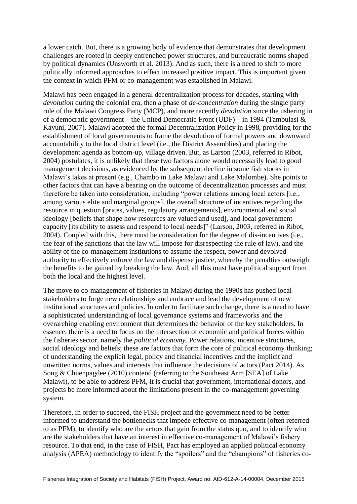a lower catch. But, there is a growing body of evidence that demonstrates that development challenges are rooted in deeply entrenched power structures, and bureaucratic norms shaped by political dynamics (Unsworth et al. 2013). And as such, there is a need to shift to more politically informed approaches to effect increased positive impact. This is important given the context in which PFM or co-management was established in Malawi.

Malawi has been engaged in a general decentralization process for decades, starting with *devolution* during the colonial era, then a phase of *de-concentration* during the single party rule of the Malawi Congress Party (MCP), and more recently *devolution* since the ushering in of a democratic government – the United Democratic Front (UDF) – in 1994 (Tambulasi & Kayuni, 2007). Malawi adopted the formal Decentralization Policy in 1998, providing for the establishment of local governments to frame the devolution of formal powers and downward accountability to the local district level (i.e., the District Assemblies) and placing the development agenda as bottom-up, village driven. But, as Larson (2003, referred in Ribot, 2004) postulates, it is unlikely that these two factors alone would necessarily lead to good management decisions, as evidenced by the subsequent decline in some fish stocks in Malawi's lakes at present (e.g., Chambo in Lake Malawi and Lake Malombe). She points to other factors that can have a bearing on the outcome of decentralization processes and must therefore be taken into consideration, including "power relations among local actors [i.e., among various elite and marginal groups], the overall structure of incentives regarding the resource in question [prices, values, regulatory arrangements], environmental and social ideology [beliefs that shape how resources are valued and used], and local government capacity [its ability to assess and respond to local needs]" (Larson, 2003, referred in Ribot, 2004). Coupled with this, there must be consideration for the degree of dis-incentives (i.e., the fear of the sanctions that the law will impose for disrespecting the rule of law), and the ability of the co-management institutions to assume the respect, power and devolved authority to effectively enforce the law and dispense justice, whereby the penalties outweigh the benefits to be gained by breaking the law. And, all this must have political support from both the local and the highest level.

The move to co-management of fisheries in Malawi during the 1990s has pushed local stakeholders to forge new relationships and embrace and lead the development of new institutional structures and policies. In order to facilitate such change, there is a need to have a sophisticated understanding of local governance systems and frameworks and the overarching enabling environment that determines the behavior of the key stakeholders. In essence, there is a need to focus on the intersection of economic and political forces within the fisheries sector, namely the *political economy*. Power relations, incentive structures, social ideology and beliefs; these are factors that form the core of political economy thinking; of understanding the explicit legal, policy and financial incentives and the implicit and unwritten norms, values and interests that influence the decisions of actors (Pact 2014). As Song & Chuenpagdee (2010) contend (referring to the Southeast Arm [SEA] of Lake Malawi), to be able to address PFM, it is crucial that government, international donors, and projects be more informed about the limitations present in the co-management governing system.

Therefore, in order to succeed, the FISH project and the government need to be better informed to understand the bottlenecks that impede effective co-management (often referred to as PFM), to identify who are the actors that gain from the status quo, and to identify who are the stakeholders that have an interest in effective co-management of Malawi's fishery resource. To that end, in the case of FISH, Pact has employed an applied political economy analysis (APEA) methodology to identify the "spoilers" and the "champions" of fisheries co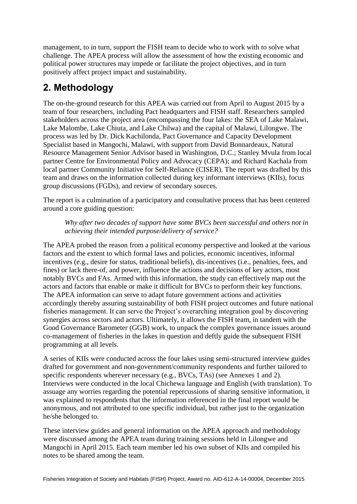management, to in turn, support the FISH team to decide who to work with to solve what challenge. The APEA process will allow the assessment of how the existing economic and political power structures may impede or facilitate the project objectives, and in turn positively affect project impact and sustainability.

# <span id="page-10-0"></span>**2. Methodology**

The on-the-ground research for this APEA was carried out from April to August 2015 by a team of four researchers, including Pact headquarters and FISH staff. Researchers sampled stakeholders across the project area (encompassing the four lakes: the SEA of Lake Malawi, Lake Malombe, Lake Chiuta, and Lake Chilwa) and the capital of Malawi, Lilongwe. The process was led by Dr. Dick Kachilonda, Pact Governance and Capacity Development Specialist based in Mangochi, Malawi, with support from David Bonnardeaux, Natural Resource Management Senior Advisor based in Washington, D.C.; Stanley Mvula from local partner Centre for Environmental Policy and Advocacy (CEPA); and Richard Kachala from local partner Community Initiative for Self-Reliance (CISER). The report was drafted by this team and draws on the information collected during key informant interviews (KIIs), focus group discussions (FGDs), and review of secondary sources.

The report is a culmination of a participatory and consultative process that has been centered around a core guiding question:

*Why after two decades of support have some BVCs been successful and others not in achieving their intended purpose/delivery of service?*

The APEA probed the reason from a political economy perspective and looked at the various factors and the extent to which formal laws and policies, economic incentives, informal incentives (e.g., desire for status, traditional beliefs), dis-incentives (i.e., penalties, fees, and fines) or lack there-of, and power, influence the actions and decisions of key actors, most notably BVCs and FAs. Armed with this information, the study can effectively map out the actors and factors that enable or make it difficult for BVCs to perform their key functions. The APEA information can serve to adapt future government actions and activities accordingly thereby assuring sustainability of both FISH project outcomes and future national fisheries management. It can serve the Project's overarching integration goal by discovering synergies across sectors and actors. Ultimately, it allows the FISH team, in tandem with the Good Governance Barometer (GGB) work, to unpack the complex governance issues around co-management of fisheries in the lakes in question and deftly guide the subsequent FISH programming at all levels.

A series of KIIs were conducted across the four lakes using semi-structured interview guides drafted for government and non-government/community respondents and further tailored to specific respondents wherever necessary (e.g., BVCs, TAs) (see Annexes 1 and 2). Interviews were conducted in the local Chichewa language and English (with translation). To assuage any worries regarding the potential repercussions of sharing sensitive information, it was explained to respondents that the information referenced in the final report would be anonymous, and not attributed to one specific individual, but rather just to the organization he/she belonged to.

These interview guides and general information on the APEA approach and methodology were discussed among the APEA team during training sessions held in Lilongwe and Mangochi in April 2015. Each team member led his own subset of KIIs and compiled his notes to be shared among the team.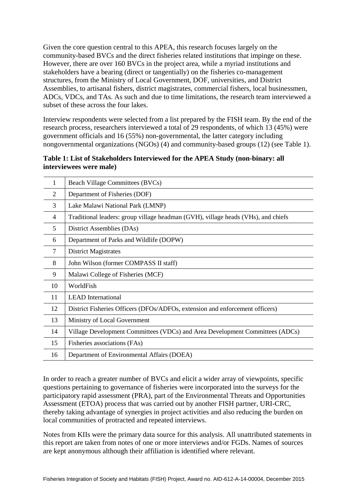Given the core question central to this APEA, this research focuses largely on the community-based BVCs and the direct fisheries related institutions that impinge on these. However, there are over 160 BVCs in the project area, while a myriad institutions and stakeholders have a bearing (direct or tangentially) on the fisheries co-management structures, from the Ministry of Local Government, DOF, universities, and District Assemblies, to artisanal fishers, district magistrates, commercial fishers, local businessmen, ADCs, VDCs, and TAs. As such and due to time limitations, the research team interviewed a subset of these across the four lakes.

Interview respondents were selected from a list prepared by the FISH team. By the end of the research process, researchers interviewed a total of 29 respondents, of which 13 (45%) were government officials and 16 (55%) non-governmental, the latter category including nongovernmental organizations  $(NGOs)$  (4) and community-based groups (12) (see Table 1).

### **Table 1: List of Stakeholders Interviewed for the APEA Study (non-binary: all interviewees were male)**

| 1  | <b>Beach Village Committees (BVCs)</b>                                            |
|----|-----------------------------------------------------------------------------------|
| 2  | Department of Fisheries (DOF)                                                     |
| 3  | Lake Malawi National Park (LMNP)                                                  |
| 4  | Traditional leaders: group village headman (GVH), village heads (VHs), and chiefs |
| 5  | District Assemblies (DAs)                                                         |
| 6  | Department of Parks and Wildlife (DOPW)                                           |
| 7  | <b>District Magistrates</b>                                                       |
| 8  | John Wilson (former COMPASS II staff)                                             |
| 9  | Malawi College of Fisheries (MCF)                                                 |
| 10 | WorldFish                                                                         |
| 11 | <b>LEAD</b> International                                                         |
| 12 | District Fisheries Officers (DFOs/ADFOs, extension and enforcement officers)      |
| 13 | Ministry of Local Government                                                      |
| 14 | Village Development Committees (VDCs) and Area Development Committees (ADCs)      |
| 15 | Fisheries associations (FAs)                                                      |
| 16 | Department of Environmental Affairs (DOEA)                                        |

In order to reach a greater number of BVCs and elicit a wider array of viewpoints, specific questions pertaining to governance of fisheries were incorporated into the surveys for the participatory rapid assessment (PRA), part of the Environmental Threats and Opportunities Assessment (ETOA) process that was carried out by another FISH partner, URI-CRC, thereby taking advantage of synergies in project activities and also reducing the burden on local communities of protracted and repeated interviews.

Notes from KIIs were the primary data source for this analysis. All unattributed statements in this report are taken from notes of one or more interviews and/or FGDs. Names of sources are kept anonymous although their affiliation is identified where relevant.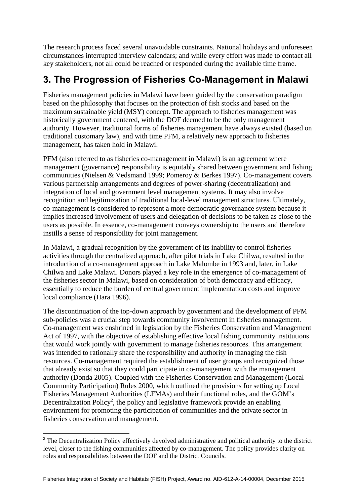The research process faced several unavoidable constraints. National holidays and unforeseen circumstances interrupted interview calendars; and while every effort was made to contact all key stakeholders, not all could be reached or responded during the available time frame.

# <span id="page-12-0"></span>**3. The Progression of Fisheries Co-Management in Malawi**

Fisheries management policies in Malawi have been guided by the conservation paradigm based on the philosophy that focuses on the protection of fish stocks and based on the maximum sustainable yield (MSY) concept. The approach to fisheries management was historically government centered, with the DOF deemed to be the only management authority. However, traditional forms of fisheries management have always existed (based on traditional customary law), and with time PFM, a relatively new approach to fisheries management, has taken hold in Malawi.

PFM (also referred to as fisheries co-management in Malawi) is an agreement where management (governance) responsibility is equitably shared between government and fishing communities (Nielsen & Vedsmand 1999; Pomeroy & Berkes 1997). Co-management covers various partnership arrangements and degrees of power-sharing (decentralization) and integration of local and government level management systems. It may also involve recognition and legitimization of traditional local-level management structures. Ultimately, co-management is considered to represent a more democratic governance system because it implies increased involvement of users and delegation of decisions to be taken as close to the users as possible. In essence, co-management conveys ownership to the users and therefore instills a sense of responsibility for joint management.

In Malawi, a gradual recognition by the government of its inability to control fisheries activities through the centralized approach, after pilot trials in Lake Chilwa, resulted in the introduction of a co-management approach in Lake Malombe in 1993 and, later, in Lake Chilwa and Lake Malawi. Donors played a key role in the emergence of co-management of the fisheries sector in Malawi, based on consideration of both democracy and efficacy, essentially to reduce the burden of central government implementation costs and improve local compliance (Hara 1996).

The discontinuation of the top-down approach by government and the development of PFM sub-policies was a crucial step towards community involvement in fisheries management. Co-management was enshrined in legislation by the Fisheries Conservation and Management Act of 1997, with the objective of establishing effective local fishing community institutions that would work jointly with government to manage fisheries resources. This arrangement was intended to rationally share the responsibility and authority in managing the fish resources. Co-management required the establishment of user groups and recognized those that already exist so that they could participate in co-management with the management authority (Donda 2005). Coupled with the Fisheries Conservation and Management (Local Community Participation) Rules 2000, which outlined the provisions for setting up Local Fisheries Management Authorities (LFMAs) and their functional roles, and the GOM's Decentralization Policy<sup>2</sup>, the policy and legislative framework provide an enabling environment for promoting the participation of communities and the private sector in fisheries conservation and management.

1

<sup>&</sup>lt;sup>2</sup> The Decentralization Policy effectively devolved administrative and political authority to the district level, closer to the fishing communities affected by co-management. The policy provides clarity on roles and responsibilities between the DOF and the District Councils.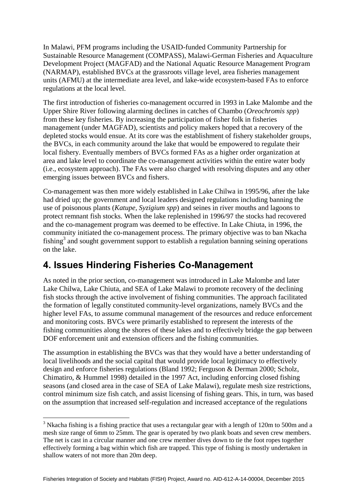In Malawi, PFM programs including the USAID-funded Community Partnership for Sustainable Resource Management (COMPASS), Malawi-German Fisheries and Aquaculture Development Project (MAGFAD) and the National Aquatic Resource Management Program (NARMAP), established BVCs at the grassroots village level, area fisheries management units (AFMU) at the intermediate area level, and lake-wide ecosystem-based FAs to enforce regulations at the local level.

The first introduction of fisheries co-management occurred in 1993 in Lake Malombe and the Upper Shire River following alarming declines in catches of Chambo (*Oreochromis spp*) from these key fisheries. By increasing the participation of fisher folk in fisheries management (under MAGFAD), scientists and policy makers hoped that a recovery of the depleted stocks would ensue. At its core was the establishment of fishery stakeholder groups, the BVCs, in each community around the lake that would be empowered to regulate their local fishery. Eventually members of BVCs formed FAs as a higher order organization at area and lake level to coordinate the co-management activities within the entire water body (i.e., ecosystem approach). The FAs were also charged with resolving disputes and any other emerging issues between BVCs and fishers.

Co-management was then more widely established in Lake Chilwa in 1995/96, after the lake had dried up; the government and local leaders designed regulations including banning the use of poisonous plants (*Katupe, Syzigium spp*) and seines in river mouths and lagoons to protect remnant fish stocks. When the lake replenished in 1996/97 the stocks had recovered and the co-management program was deemed to be effective. In Lake Chiuta, in 1996, the community initiated the co-management process. The primary objective was to ban Nkacha fishing<sup>3</sup> and sought government support to establish a regulation banning seining operations on the lake.

# <span id="page-13-0"></span>**4. Issues Hindering Fisheries Co-Management**

1

As noted in the prior section, co-management was introduced in Lake Malombe and later Lake Chilwa, Lake Chiuta, and SEA of Lake Malawi to promote recovery of the declining fish stocks through the active involvement of fishing communities. The approach facilitated the formation of legally constituted community-level organizations, namely BVCs and the higher level FAs, to assume communal management of the resources and reduce enforcement and monitoring costs. BVCs were primarily established to represent the interests of the fishing communities along the shores of these lakes and to effectively bridge the gap between DOF enforcement unit and extension officers and the fishing communities.

The assumption in establishing the BVCs was that they would have a better understanding of local livelihoods and the social capital that would provide local legitimacy to effectively design and enforce fisheries regulations (Bland 1992; Ferguson & Derman 2000; Scholz, Chimatiro, & Hummel 1998) detailed in the 1997 Act, including enforcing closed fishing seasons (and closed area in the case of SEA of Lake Malawi), regulate mesh size restrictions, control minimum size fish catch, and assist licensing of fishing gears. This, in turn, was based on the assumption that increased self-regulation and increased acceptance of the regulations

<sup>&</sup>lt;sup>3</sup> Nkacha fishing is a fishing practice that uses a rectangular gear with a length of 120m to 500m and a mesh size range of 6mm to 25mm. The gear is operated by two plank boats and seven crew members. The net is cast in a circular manner and one crew member dives down to tie the foot ropes together effectively forming a bag within which fish are trapped. This type of fishing is mostly undertaken in shallow waters of not more than 20m deep.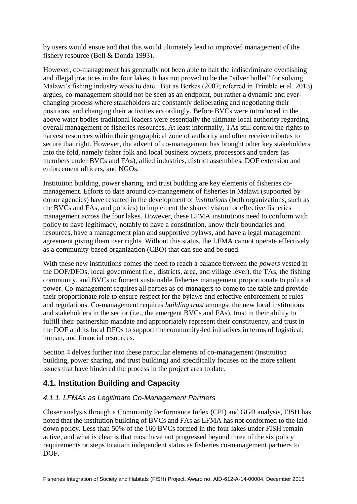by users would ensue and that this would ultimately lead to improved management of the fishery resource (Bell & Donda 1993).

However, co-management has generally not been able to halt the indiscriminate overfishing and illegal practices in the four lakes. It has not proved to be the "silver bullet" for solving Malawi's fishing industry woes to date. But as Berkes (2007; referred in Trimble et al. 2013) argues, co-management should not be seen as an endpoint, but rather a dynamic and everchanging process where stakeholders are constantly deliberating and negotiating their positions, and changing their activities accordingly. Before BVCs were introduced in the above water bodies traditional leaders were essentially the ultimate local authority regarding overall management of fisheries resources. At least informally, TAs still control the rights to harvest resources within their geographical zone of authority and often receive tributes to secure that right. However, the advent of co-management has brought other key stakeholders into the fold, namely fisher folk and local business owners, processors and traders (as members under BVCs and FAs), allied industries, district assemblies, DOF extension and enforcement officers, and NGOs.

Institution building, power sharing, and trust building are key elements of fisheries comanagement. Efforts to date around co-management of fisheries in Malawi (supported by donor agencies) have resulted in the development of *institutions* (both organizations, such as the BVCs and FAs, and policies) to implement the shared vision for effective fisheries management across the four lakes. However, these LFMA institutions need to conform with policy to have legitimacy, notably to have a constitution, know their boundaries and resources, have a management plan and supportive bylaws, and have a legal management agreement giving them user rights. Without this status, the LFMA cannot operate effectively as a community-based organization (CBO) that can sue and be sued.

With these new institutions comes the need to reach a balance between the *powers* vested in the DOF/DFOs, local government (i.e., districts, area, and village level), the TAs, the fishing community, and BVCs to foment sustainable fisheries management proportionate to political power. Co-management requires all parties as co-managers to come to the table and provide their proportionate role to ensure respect for the bylaws and effective enforcement of rules and regulations. Co-management requires *building trust* amongst the new local institutions and stakeholders in the sector (i.e., the emergent BVCs and FAs), trust in their ability to fulfill their partnership mandate and appropriately represent their constituency, and trust in the DOF and its local DFOs to support the community-led initiatives in terms of logistical, human, and financial resources.

Section 4 delves further into these particular elements of co-management (institution building, power sharing, and trust building) and specifically focuses on the more salient issues that have hindered the process in the project area to date.

## <span id="page-14-0"></span>**4.1. Institution Building and Capacity**

## *4.1.1. LFMAs as Legitimate Co-Management Partners*

Closer analysis through a Community Performance Index (CPI) and GGB analysis, FISH has noted that the institution building of BVCs and FAs as LFMA has not conformed to the laid down policy. Less than 50% of the 160 BVCs formed in the four lakes under FISH remain active, and what is clear is that most have not progressed beyond three of the six policy requirements or steps to attain independent status as fisheries co-management partners to DOF.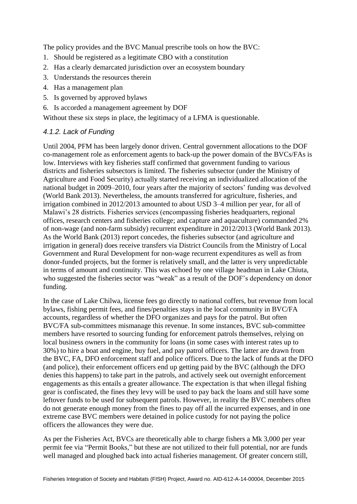The policy provides and the BVC Manual prescribe tools on how the BVC:

- 1. Should be registered as a legitimate CBO with a constitution
- 2. Has a clearly demarcated jurisdiction over an ecosystem boundary
- 3. Understands the resources therein
- 4. Has a management plan
- 5. Is governed by approved bylaws
- 6. Is accorded a management agreement by DOF

Without these six steps in place, the legitimacy of a LFMA is questionable.

## *4.1.2. Lack of Funding*

Until 2004, PFM has been largely donor driven. Central government allocations to the DOF co-management role as enforcement agents to back-up the power domain of the BVCs/FAs is low. Interviews with key fisheries staff confirmed that government funding to various districts and fisheries subsectors is limited. The fisheries subsector (under the Ministry of Agriculture and Food Security) actually started receiving an individualized allocation of the national budget in 2009–2010, four years after the majority of sectors' funding was devolved (World Bank 2013). Nevertheless, the amounts transferred for agriculture, fisheries, and irrigation combined in 2012/2013 amounted to about USD 3–4 million per year, for all of Malawi's 28 districts. Fisheries services (encompassing fisheries headquarters, regional offices, research centers and fisheries college; and capture and aquaculture) commanded 2% of non-wage (and non-farm subsidy) recurrent expenditure in 2012/2013 (World Bank 2013). As the World Bank (2013) report concedes, the fisheries subsector (and agriculture and irrigation in general) does receive transfers via District Councils from the Ministry of Local Government and Rural Development for non-wage recurrent expenditures as well as from donor-funded projects, but the former is relatively small, and the latter is very unpredictable in terms of amount and continuity. This was echoed by one village headman in Lake Chiuta, who suggested the fisheries sector was "weak" as a result of the DOF's dependency on donor funding.

In the case of Lake Chilwa, license fees go directly to national coffers, but revenue from local bylaws, fishing permit fees, and fines/penalties stays in the local community in BVC/FA accounts, regardless of whether the DFO organizes and pays for the patrol. But often BVC/FA sub-committees mismanage this revenue. In some instances, BVC sub-committee members have resorted to sourcing funding for enforcement patrols themselves, relying on local business owners in the community for loans (in some cases with interest rates up to 30%) to hire a boat and engine, buy fuel, and pay patrol officers. The latter are drawn from the BVC, FA, DFO enforcement staff and police officers. Due to the lack of funds at the DFO (and police), their enforcement officers end up getting paid by the BVC (although the DFO denies this happens) to take part in the patrols, and actively seek out overnight enforcement engagements as this entails a greater allowance. The expectation is that when illegal fishing gear is confiscated, the fines they levy will be used to pay back the loans and still have some leftover funds to be used for subsequent patrols. However, in reality the BVC members often do not generate enough money from the fines to pay off all the incurred expenses, and in one extreme case BVC members were detained in police custody for not paying the police officers the allowances they were due.

As per the Fisheries Act, BVCs are theoretically able to charge fishers a Mk 3,000 per year permit fee via "Permit Books," but these are not utilized to their full potential, nor are funds well managed and ploughed back into actual fisheries management. Of greater concern still,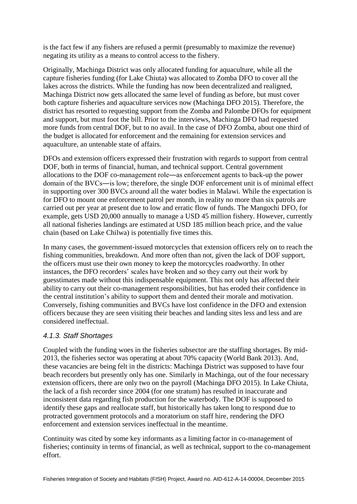is the fact few if any fishers are refused a permit (presumably to maximize the revenue) negating its utility as a means to control access to the fishery.

Originally, Machinga District was only allocated funding for aquaculture, while all the capture fisheries funding (for Lake Chiuta) was allocated to Zomba DFO to cover all the lakes across the districts. While the funding has now been decentralized and realigned, Machinga District now gets allocated the same level of funding as before, but must cover both capture fisheries and aquaculture services now (Machinga DFO 2015). Therefore, the district has resorted to requesting support from the Zomba and Palombe DFOs for equipment and support, but must foot the bill. Prior to the interviews, Machinga DFO had requested more funds from central DOF, but to no avail. In the case of DFO Zomba, about one third of the budget is allocated for enforcement and the remaining for extension services and aquaculture, an untenable state of affairs.

DFOs and extension officers expressed their frustration with regards to support from central DOF, both in terms of financial, human, and technical support. Central government allocations to the DOF co-management role―as enforcement agents to back-up the power domain of the BVCs―is low; therefore, the single DOF enforcement unit is of minimal effect in supporting over 300 BVCs around all the water bodies in Malawi. While the expectation is for DFO to mount one enforcement patrol per month, in reality no more than six patrols are carried out per year at present due to low and erratic flow of funds. The Mangochi DFO, for example, gets USD 20,000 annually to manage a USD 45 million fishery. However, currently all national fisheries landings are estimated at USD 185 million beach price, and the value chain (based on Lake Chilwa) is potentially five times this.

In many cases, the government-issued motorcycles that extension officers rely on to reach the fishing communities, breakdown. And more often than not, given the lack of DOF support, the officers must use their own money to keep the motorcycles roadworthy. In other instances, the DFO recorders' scales have broken and so they carry out their work by guesstimates made without this indispensable equipment. This not only has affected their ability to carry out their co-management responsibilities, but has eroded their confidence in the central institution's ability to support them and dented their morale and motivation. Conversely, fishing communities and BVCs have lost confidence in the DFO and extension officers because they are seen visiting their beaches and landing sites less and less and are considered ineffectual.

### *4.1.3. Staff Shortages*

Coupled with the funding woes in the fisheries subsector are the staffing shortages. By mid-2013, the fisheries sector was operating at about 70% capacity (World Bank 2013). And, these vacancies are being felt in the districts: Machinga District was supposed to have four beach recorders but presently only has one. Similarly in Machinga, out of the four necessary extension officers, there are only two on the payroll (Machinga DFO 2015). In Lake Chiuta, the lack of a fish recorder since 2004 (for one stratum) has resulted in inaccurate and inconsistent data regarding fish production for the waterbody. The DOF is supposed to identify these gaps and reallocate staff, but historically has taken long to respond due to protracted government protocols and a moratorium on staff hire, rendering the DFO enforcement and extension services ineffectual in the meantime.

Continuity was cited by some key informants as a limiting factor in co-management of fisheries; continuity in terms of financial, as well as technical, support to the co-management effort.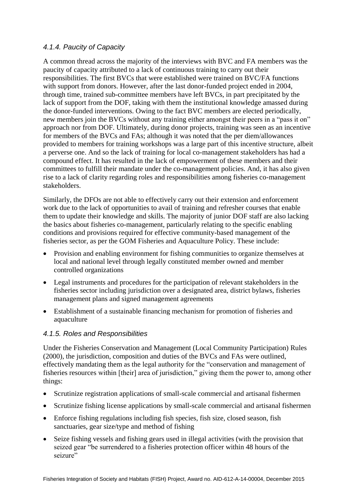### *4.1.4. Paucity of Capacity*

A common thread across the majority of the interviews with BVC and FA members was the paucity of capacity attributed to a lack of continuous training to carry out their responsibilities. The first BVCs that were established were trained on BVC/FA functions with support from donors. However, after the last donor-funded project ended in 2004, through time, trained sub-committee members have left BVCs, in part precipitated by the lack of support from the DOF, taking with them the institutional knowledge amassed during the donor-funded interventions. Owing to the fact BVC members are elected periodically, new members join the BVCs without any training either amongst their peers in a "pass it on" approach nor from DOF. Ultimately, during donor projects, training was seen as an incentive for members of the BVCs and FAs; although it was noted that the per diem/allowances provided to members for training workshops was a large part of this incentive structure, albeit a perverse one. And so the lack of training for local co-management stakeholders has had a compound effect. It has resulted in the lack of empowerment of these members and their committees to fulfill their mandate under the co-management policies. And, it has also given rise to a lack of clarity regarding roles and responsibilities among fisheries co-management stakeholders.

Similarly, the DFOs are not able to effectively carry out their extension and enforcement work due to the lack of opportunities to avail of training and refresher courses that enable them to update their knowledge and skills. The majority of junior DOF staff are also lacking the basics about fisheries co-management, particularly relating to the specific enabling conditions and provisions required for effective community-based management of the fisheries sector, as per the GOM Fisheries and Aquaculture Policy. These include:

- Provision and enabling environment for fishing communities to organize themselves at local and national level through legally constituted member owned and member controlled organizations
- Legal instruments and procedures for the participation of relevant stakeholders in the fisheries sector including jurisdiction over a designated area, district bylaws, fisheries management plans and signed management agreements
- Establishment of a sustainable financing mechanism for promotion of fisheries and aquaculture

### *4.1.5. Roles and Responsibilities*

Under the Fisheries Conservation and Management (Local Community Participation) Rules (2000), the jurisdiction, composition and duties of the BVCs and FAs were outlined, effectively mandating them as the legal authority for the "conservation and management of fisheries resources within [their] area of jurisdiction," giving them the power to, among other things:

- Scrutinize registration applications of small-scale commercial and artisanal fishermen
- Scrutinize fishing license applications by small-scale commercial and artisanal fishermen
- Enforce fishing regulations including fish species, fish size, closed season, fish sanctuaries, gear size/type and method of fishing
- Seize fishing vessels and fishing gears used in illegal activities (with the provision that seized gear "be surrendered to a fisheries protection officer within 48 hours of the seizure"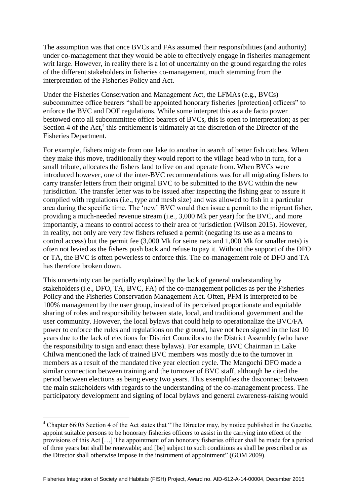The assumption was that once BVCs and FAs assumed their responsibilities (and authority) under co-management that they would be able to effectively engage in fisheries management writ large. However, in reality there is a lot of uncertainty on the ground regarding the roles of the different stakeholders in fisheries co-management, much stemming from the interpretation of the Fisheries Policy and Act.

Under the Fisheries Conservation and Management Act, the LFMAs (e.g., BVCs) subcommittee office bearers "shall be appointed honorary fisheries [protection] officers" to enforce the BVC and DOF regulations. While some interpret this as a de facto power bestowed onto all subcommittee office bearers of BVCs, this is open to interpretation; as per Section 4 of the Act,<sup>4</sup> this entitlement is ultimately at the discretion of the Director of the Fisheries Department.

For example, fishers migrate from one lake to another in search of better fish catches. When they make this move, traditionally they would report to the village head who in turn, for a small tribute, allocates the fishers land to live on and operate from. When BVCs were introduced however, one of the inter-BVC recommendations was for all migrating fishers to carry transfer letters from their original BVC to be submitted to the BVC within the new jurisdiction. The transfer letter was to be issued after inspecting the fishing gear to assure it complied with regulations (i.e., type and mesh size) and was allowed to fish in a particular area during the specific time. The 'new' BVC would then issue a permit to the migrant fisher, providing a much-needed revenue stream (i.e., 3,000 Mk per year) for the BVC, and more importantly, a means to control access to their area of jurisdiction (Wilson 2015). However, in reality, not only are very few fishers refused a permit (negating its use as a means to control access) but the permit fee (3,000 Mk for seine nets and 1,000 Mk for smaller nets) is often not levied as the fishers push back and refuse to pay it. Without the support of the DFO or TA, the BVC is often powerless to enforce this. The co-management role of DFO and TA has therefore broken down.

This uncertainty can be partially explained by the lack of general understanding by stakeholders (i.e., DFO, TA, BVC, FA) of the co-management policies as per the Fisheries Policy and the Fisheries Conservation Management Act. Often, PFM is interpreted to be 100% management by the user group, instead of its perceived proportionate and equitable sharing of roles and responsibility between state, local, and traditional government and the user community. However, the local bylaws that could help to operationalize the BVC/FA power to enforce the rules and regulations on the ground, have not been signed in the last 10 years due to the lack of elections for District Councilors to the District Assembly (who have the responsibility to sign and enact these bylaws). For example, BVC Chairman in Lake Chilwa mentioned the lack of trained BVC members was mostly due to the turnover in members as a result of the mandated five year election cycle. The Mangochi DFO made a similar connection between training and the turnover of BVC staff, although he cited the period between elections as being every two years. This exemplifies the disconnect between the main stakeholders with regards to the understanding of the co-management process. The participatory development and signing of local bylaws and general awareness-raising would

1

<sup>4</sup> Chapter 66:05 Section 4 of the Act states that "The Director may, by notice published in the Gazette, appoint suitable persons to be honorary fisheries officers to assist in the carrying into effect of the provisions of this Act […] The appointment of an honorary fisheries officer shall be made for a period of three years but shall be renewable; and [be] subject to such conditions as shall be prescribed or as the Director shall otherwise impose in the instrument of appointment" (GOM 2009).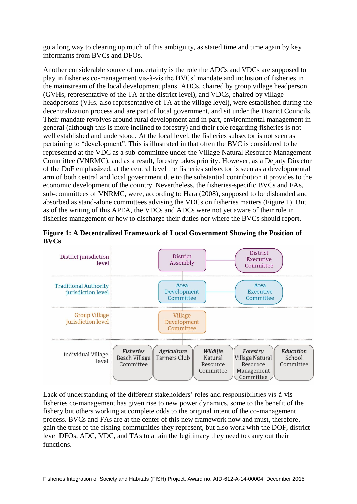go a long way to clearing up much of this ambiguity, as stated time and time again by key informants from BVCs and DFOs.

Another considerable source of uncertainty is the role the ADCs and VDCs are supposed to play in fisheries co-management vis-à-vis the BVCs' mandate and inclusion of fisheries in the mainstream of the local development plans. ADCs, chaired by group village headperson (GVHs, representative of the TA at the district level), and VDCs, chaired by village headpersons (VHs, also representative of TA at the village level), were established during the decentralization process and are part of local government, and sit under the District Councils. Their mandate revolves around rural development and in part, environmental management in general (although this is more inclined to forestry) and their role regarding fisheries is not well established and understood. At the local level, the fisheries subsector is not seen as pertaining to "development". This is illustrated in that often the BVC is considered to be represented at the VDC as a sub-committee under the Village Natural Resource Management Committee (VNRMC), and as a result, forestry takes priority. However, as a Deputy Director of the DoF emphasized, at the central level the fisheries subsector is seen as a developmental arm of both central and local government due to the substantial contribution it provides to the economic development of the country. Nevertheless, the fisheries-specific BVCs and FAs, sub-committees of VNRMC, were, according to Hara (2008), supposed to be disbanded and absorbed as stand-alone committees advising the VDCs on fisheries matters (Figure 1). But as of the writing of this APEA, the VDCs and ADCs were not yet aware of their role in fisheries management or how to discharge their duties nor where the BVCs should report.





Lack of understanding of the different stakeholders' roles and responsibilities vis-à-vis fisheries co-management has given rise to new power dynamics, some to the benefit of the fishery but others working at complete odds to the original intent of the co-management process. BVCs and FAs are at the center of this new framework now and must, therefore, gain the trust of the fishing communities they represent, but also work with the DOF, districtlevel DFOs, ADC, VDC, and TAs to attain the legitimacy they need to carry out their functions.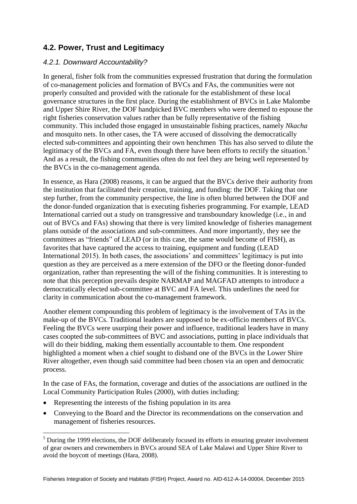## <span id="page-20-0"></span>**4.2. Power, Trust and Legitimacy**

### *4.2.1. Downward Accountability?*

In general, fisher folk from the communities expressed frustration that during the formulation of co-management policies and formation of BVCs and FAs, the communities were not properly consulted and provided with the rationale for the establishment of these local governance structures in the first place. During the establishment of BVCs in Lake Malombe and Upper Shire River, the DOF handpicked BVC members who were deemed to espouse the right fisheries conservation values rather than be fully representative of the fishing community. This included those engaged in unsustainable fishing practices, namely *Nkacha* and mosquito nets. In other cases, the TA were accused of dissolving the democratically elected sub-committees and appointing their own henchmen This has also served to dilute the legitimacy of the BVCs and FA, even though there have been efforts to rectify the situation.<sup>5</sup> And as a result, the fishing communities often do not feel they are being well represented by the BVCs in the co-management agenda.

In essence, as Hara (2008) reasons, it can be argued that the BVCs derive their authority from the institution that facilitated their creation, training, and funding: the DOF. Taking that one step further, from the community perspective, the line is often blurred between the DOF and the donor-funded organization that is executing fisheries programming. For example, LEAD International carried out a study on transgressive and transboundary knowledge (i.e., in and out of BVCs and FAs) showing that there is very limited knowledge of fisheries management plans outside of the associations and sub-committees. And more importantly, they see the committees as "friends" of LEAD (or in this case, the same would become of FISH), as favorites that have captured the access to training, equipment and funding (LEAD International 2015). In both cases, the associations' and committees' legitimacy is put into question as they are perceived as a mere extension of the DFO or the fleeting donor-funded organization, rather than representing the will of the fishing communities. It is interesting to note that this perception prevails despite NARMAP and MAGFAD attempts to introduce a democratically elected sub-committee at BVC and FA level. This underlines the need for clarity in communication about the co-management framework.

Another element compounding this problem of legitimacy is the involvement of TAs in the make-up of the BVCs. Traditional leaders are supposed to be ex-officio members of BVCs. Feeling the BVCs were usurping their power and influence, traditional leaders have in many cases coopted the sub-committees of BVC and associations, putting in place individuals that will do their bidding, making them essentially accountable to them. One respondent highlighted a moment when a chief sought to disband one of the BVCs in the Lower Shire River altogether, even though said committee had been chosen via an open and democratic process.

In the case of FAs, the formation, coverage and duties of the associations are outlined in the Local Community Participation Rules (2000), with duties including:

• Representing the interests of the fishing population in its area

1

 Conveying to the Board and the Director its recommendations on the conservation and management of fisheries resources.

<sup>&</sup>lt;sup>5</sup> During the 1999 elections, the DOF deliberately focused its efforts in ensuring greater involvement of gear owners and crewmembers in BVCs around SEA of Lake Malawi and Upper Shire River to avoid the boycott of meetings (Hara, 2008).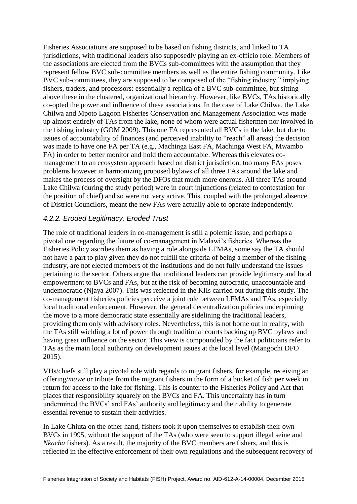Fisheries Associations are supposed to be based on fishing districts, and linked to TA jurisdictions, with traditional leaders also supposedly playing an ex-officio role. Members of the associations are elected from the BVCs sub-committees with the assumption that they represent fellow BVC sub-committee members as well as the entire fishing community. Like BVC sub-committees, they are supposed to be composed of the "fishing industry," implying fishers, traders, and processors: essentially a replica of a BVC sub-committee, but sitting above these in the clustered, organizational hierarchy. However, like BVCs, TAs historically co-opted the power and influence of these associations. In the case of Lake Chilwa, the Lake Chilwa and Mpoto Lagoon Fisheries Conservation and Management Association was made up almost entirely of TAs from the lake, none of whom were actual fishermen nor involved in the fishing industry (GOM 2009). This one FA represented all BVCs in the lake, but due to issues of accountability of finances (and perceived inability to "reach" all areas) the decision was made to have one FA per TA (e.g., Machinga East FA, Machinga West FA, Mwambo FA) in order to better monitor and hold them accountable. Whereas this elevates comanagement to an ecosystem approach based on district jurisdiction, too many FAs poses problems however in harmonizing proposed bylaws of all three FAs around the lake and makes the process of oversight by the DFOs that much more onerous. All three TAs around Lake Chilwa (during the study period) were in court injunctions (related to contestation for the position of chief) and so were not very active. This, coupled with the prolonged absence of District Councilors, meant the new FAs were actually able to operate independently.

### *4.2.2. Eroded Legitimacy, Eroded Trust*

The role of traditional leaders in co-management is still a polemic issue, and perhaps a pivotal one regarding the future of co-management in Malawi's fisheries. Whereas the Fisheries Policy ascribes them as having a role alongside LFMAs, some say the TA should not have a part to play given they do not fulfill the criteria of being a member of the fishing industry, are not elected members of the institutions and do not fully understand the issues pertaining to the sector. Others argue that traditional leaders can provide legitimacy and local empowerment to BVCs and FAs, but at the risk of becoming autocratic, unaccountable and undemocratic (Njaya 2007). This was reflected in the KIIs carried out during this study. The co-management fisheries policies perceive a joint role between LFMAs and TAs, especially local traditional enforcement. However, the general decentralization policies underpinning the move to a more democratic state essentially are sidelining the traditional leaders, providing them only with advisory roles. Nevertheless, this is not borne out in reality, with the TAs still wielding a lot of power through traditional courts backing up BVC bylaws and having great influence on the sector. This view is compounded by the fact politicians refer to TAs as the main local authority on development issues at the local level (Mangochi DFO 2015).

VHs/chiefs still play a pivotal role with regards to migrant fishers, for example, receiving an offering/*mawe* or tribute from the migrant fishers in the form of a bucket of fish per week in return for access to the lake for fishing. This is counter to the Fisheries Policy and Act that places that responsibility squarely on the BVCs and FA. This uncertainty has in turn undermined the BVCs' and FAs' authority and legitimacy and their ability to generate essential revenue to sustain their activities.

In Lake Chiuta on the other hand, fishers took it upon themselves to establish their own BVCs in 1995, without the support of the TAs (who were seen to support illegal seine and *Nkacha* fishers). As a result, the majority of the BVC members are fishers, and this is reflected in the effective enforcement of their own regulations and the subsequent recovery of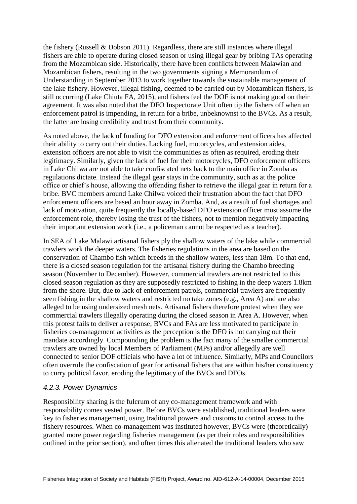the fishery (Russell & Dobson 2011). Regardless, there are still instances where illegal fishers are able to operate during closed season or using illegal gear by bribing TAs operating from the Mozambican side. Historically, there have been conflicts between Malawian and Mozambican fishers, resulting in the two governments signing a Memorandum of Understanding in September 2013 to work together towards the sustainable management of the lake fishery. However, illegal fishing, deemed to be carried out by Mozambican fishers, is still occurring (Lake Chiuta FA, 2015), and fishers feel the DOF is not making good on their agreement. It was also noted that the DFO Inspectorate Unit often tip the fishers off when an enforcement patrol is impending, in return for a bribe, unbeknownst to the BVCs. As a result, the latter are losing credibility and trust from their community.

As noted above, the lack of funding for DFO extension and enforcement officers has affected their ability to carry out their duties. Lacking fuel, motorcycles, and extension aides, extension officers are not able to visit the communities as often as required, eroding their legitimacy. Similarly, given the lack of fuel for their motorcycles, DFO enforcement officers in Lake Chilwa are not able to take confiscated nets back to the main office in Zomba as regulations dictate. Instead the illegal gear stays in the community, such as at the police office or chief's house, allowing the offending fisher to retrieve the illegal gear in return for a bribe. BVC members around Lake Chilwa voiced their frustration about the fact that DFO enforcement officers are based an hour away in Zomba. And, as a result of fuel shortages and lack of motivation, quite frequently the locally-based DFO extension officer must assume the enforcement role, thereby losing the trust of the fishers, not to mention negatively impacting their important extension work (i.e., a policeman cannot be respected as a teacher).

In SEA of Lake Malawi artisanal fishers ply the shallow waters of the lake while commercial trawlers work the deeper waters. The fisheries regulations in the area are based on the conservation of Chambo fish which breeds in the shallow waters, less than 18m. To that end, there is a closed season regulation for the artisanal fishery during the Chambo breeding season (November to December). However, commercial trawlers are not restricted to this closed season regulation as they are supposedly restricted to fishing in the deep waters 1.8km from the shore. But, due to lack of enforcement patrols, commercial trawlers are frequently seen fishing in the shallow waters and restricted no take zones (e.g., Area A) and are also alleged to be using undersized mesh nets. Artisanal fishers therefore protest when they see commercial trawlers illegally operating during the closed season in Area A. However, when this protest fails to deliver a response, BVCs and FAs are less motivated to participate in fisheries co-management activities as the perception is the DFO is not carrying out their mandate accordingly. Compounding the problem is the fact many of the smaller commercial trawlers are owned by local Members of Parliament (MPs) and/or allegedly are well connected to senior DOF officials who have a lot of influence. Similarly, MPs and Councilors often overrule the confiscation of gear for artisanal fishers that are within his/her constituency to curry political favor, eroding the legitimacy of the BVCs and DFOs.

### *4.2.3. Power Dynamics*

Responsibility sharing is the fulcrum of any co-management framework and with responsibility comes vested power. Before BVCs were established, traditional leaders were key to fisheries management, using traditional powers and customs to control access to the fishery resources. When co-management was instituted however, BVCs were (theoretically) granted more power regarding fisheries management (as per their roles and responsibilities outlined in the prior section), and often times this alienated the traditional leaders who saw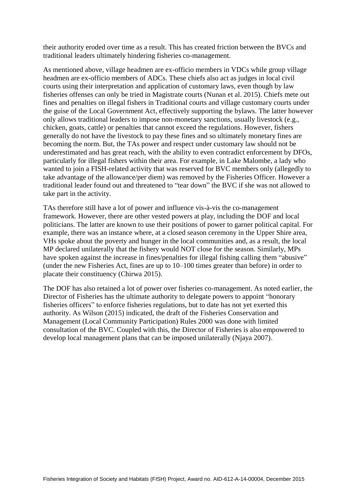their authority eroded over time as a result. This has created friction between the BVCs and traditional leaders ultimately hindering fisheries co-management.

As mentioned above, village headmen are ex-officio members in VDCs while group village headmen are ex-officio members of ADCs. These chiefs also act as judges in local civil courts using their interpretation and application of customary laws, even though by law fisheries offenses can only be tried in Magistrate courts (Nunan et al. 2015). Chiefs mete out fines and penalties on illegal fishers in Traditional courts and village customary courts under the guise of the Local Government Act, effectively supporting the bylaws. The latter however only allows traditional leaders to impose non-monetary sanctions, usually livestock (e.g., chicken, goats, cattle) or penalties that cannot exceed the regulations. However, fishers generally do not have the livestock to pay these fines and so ultimately monetary fines are becoming the norm. But, the TAs power and respect under customary law should not be underestimated and has great reach, with the ability to even contradict enforcement by DFOs, particularly for illegal fishers within their area. For example, in Lake Malombe, a lady who wanted to join a FISH-related activity that was reserved for BVC members only (allegedly to take advantage of the allowance/per diem) was removed by the Fisheries Officer. However a traditional leader found out and threatened to "tear down" the BVC if she was not allowed to take part in the activity.

TAs therefore still have a lot of power and influence vis-à-vis the co-management framework. However, there are other vested powers at play, including the DOF and local politicians. The latter are known to use their positions of power to garner political capital. For example, there was an instance where, at a closed season ceremony in the Upper Shire area, VHs spoke about the poverty and hunger in the local communities and, as a result, the local MP declared unilaterally that the fishery would NOT close for the season. Similarly, MPs have spoken against the increase in fines/penalties for illegal fishing calling them "abusive" (under the new Fisheries Act, fines are up to 10–100 times greater than before) in order to placate their constituency (Chirwa 2015).

The DOF has also retained a lot of power over fisheries co-management. As noted earlier, the Director of Fisheries has the ultimate authority to delegate powers to appoint "honorary fisheries officers" to enforce fisheries regulations, but to date has not yet exerted this authority. As Wilson (2015) indicated, the draft of the Fisheries Conservation and Management (Local Community Participation) Rules 2000 was done with limited consultation of the BVC. Coupled with this, the Director of Fisheries is also empowered to develop local management plans that can be imposed unilaterally (Njaya 2007).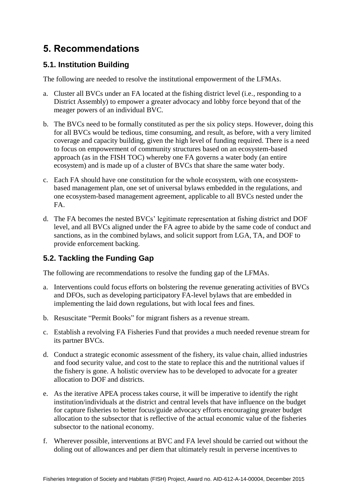## <span id="page-24-0"></span>**5. Recommendations**

## <span id="page-24-1"></span>**5.1. Institution Building**

The following are needed to resolve the institutional empowerment of the LFMAs.

- a. Cluster all BVCs under an FA located at the fishing district level (i.e., responding to a District Assembly) to empower a greater advocacy and lobby force beyond that of the meager powers of an individual BVC.
- b. The BVCs need to be formally constituted as per the six policy steps. However, doing this for all BVCs would be tedious, time consuming, and result, as before, with a very limited coverage and capacity building, given the high level of funding required. There is a need to focus on empowerment of community structures based on an ecosystem-based approach (as in the FISH TOC) whereby one FA governs a water body (an entire ecosystem) and is made up of a cluster of BVCs that share the same water body.
- c. Each FA should have one constitution for the whole ecosystem, with one ecosystembased management plan, one set of universal bylaws embedded in the regulations, and one ecosystem-based management agreement, applicable to all BVCs nested under the FA.
- d. The FA becomes the nested BVCs' legitimate representation at fishing district and DOF level, and all BVCs aligned under the FA agree to abide by the same code of conduct and sanctions, as in the combined bylaws, and solicit support from LGA, TA, and DOF to provide enforcement backing.

## <span id="page-24-2"></span>**5.2. Tackling the Funding Gap**

The following are recommendations to resolve the funding gap of the LFMAs.

- a. Interventions could focus efforts on bolstering the revenue generating activities of BVCs and DFOs, such as developing participatory FA-level bylaws that are embedded in implementing the laid down regulations, but with local fees and fines.
- b. Resuscitate "Permit Books" for migrant fishers as a revenue stream.
- c. Establish a revolving FA Fisheries Fund that provides a much needed revenue stream for its partner BVCs.
- d. Conduct a strategic economic assessment of the fishery, its value chain, allied industries and food security value, and cost to the state to replace this and the nutritional values if the fishery is gone. A holistic overview has to be developed to advocate for a greater allocation to DOF and districts.
- e. As the iterative APEA process takes course, it will be imperative to identify the right institution/individuals at the district and central levels that have influence on the budget for capture fisheries to better focus/guide advocacy efforts encouraging greater budget allocation to the subsector that is reflective of the actual economic value of the fisheries subsector to the national economy.
- f. Wherever possible, interventions at BVC and FA level should be carried out without the doling out of allowances and per diem that ultimately result in perverse incentives to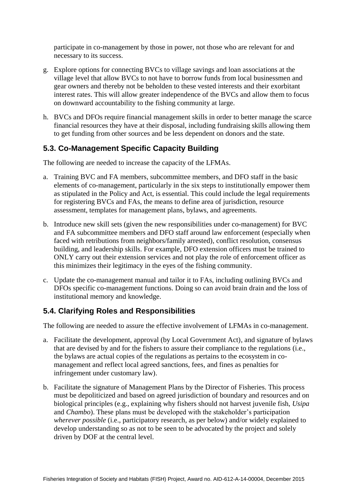participate in co-management by those in power, not those who are relevant for and necessary to its success.

- g. Explore options for connecting BVCs to village savings and loan associations at the village level that allow BVCs to not have to borrow funds from local businessmen and gear owners and thereby not be beholden to these vested interests and their exorbitant interest rates. This will allow greater independence of the BVCs and allow them to focus on downward accountability to the fishing community at large.
- h. BVCs and DFOs require financial management skills in order to better manage the scarce financial resources they have at their disposal, including fundraising skills allowing them to get funding from other sources and be less dependent on donors and the state.

## <span id="page-25-0"></span>**5.3. Co-Management Specific Capacity Building**

The following are needed to increase the capacity of the LFMAs.

- a. Training BVC and FA members, subcommittee members, and DFO staff in the basic elements of co-management, particularly in the six steps to institutionally empower them as stipulated in the Policy and Act, is essential. This could include the legal requirements for registering BVCs and FAs, the means to define area of jurisdiction, resource assessment, templates for management plans, bylaws, and agreements.
- b. Introduce new skill sets (given the new responsibilities under co-management) for BVC and FA subcommittee members and DFO staff around law enforcement (especially when faced with retributions from neighbors/family arrested), conflict resolution, consensus building, and leadership skills. For example, DFO extension officers must be trained to ONLY carry out their extension services and not play the role of enforcement officer as this minimizes their legitimacy in the eyes of the fishing community.
- c. Update the co-management manual and tailor it to FAs, including outlining BVCs and DFOs specific co-management functions. Doing so can avoid brain drain and the loss of institutional memory and knowledge.

## <span id="page-25-1"></span>**5.4. Clarifying Roles and Responsibilities**

The following are needed to assure the effective involvement of LFMAs in co-management.

- a. Facilitate the development, approval (by Local Government Act), and signature of bylaws that are devised by and for the fishers to assure their compliance to the regulations (i.e., the bylaws are actual copies of the regulations as pertains to the ecosystem in comanagement and reflect local agreed sanctions, fees, and fines as penalties for infringement under customary law).
- b. Facilitate the signature of Management Plans by the Director of Fisheries. This process must be depoliticized and based on agreed jurisdiction of boundary and resources and on biological principles (e.g., explaining why fishers should not harvest juvenile fish, *Usipa*  and *Chambo*). These plans must be developed with the stakeholder's participation *wherever possible* (i.e., participatory research, as per below) and/or widely explained to develop understanding so as not to be seen to be advocated by the project and solely driven by DOF at the central level.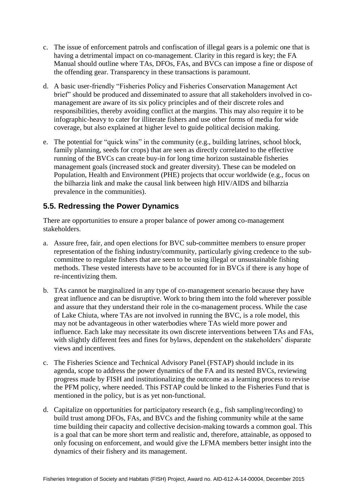- c. The issue of enforcement patrols and confiscation of illegal gears is a polemic one that is having a detrimental impact on co-management. Clarity in this regard is key; the FA Manual should outline where TAs, DFOs, FAs, and BVCs can impose a fine or dispose of the offending gear. Transparency in these transactions is paramount.
- d. A basic user-friendly "Fisheries Policy and Fisheries Conservation Management Act brief" should be produced and disseminated to assure that all stakeholders involved in comanagement are aware of its six policy principles and of their discrete roles and responsibilities, thereby avoiding conflict at the margins. This may also require it to be infographic-heavy to cater for illiterate fishers and use other forms of media for wide coverage, but also explained at higher level to guide political decision making.
- e. The potential for "quick wins" in the community (e.g., building latrines, school block, family planning, seeds for crops) that are seen as directly correlated to the effective running of the BVCs can create buy-in for long time horizon sustainable fisheries management goals (increased stock and greater diversity). These can be modeled on Population, Health and Environment (PHE) projects that occur worldwide (e.g., focus on the bilharzia link and make the causal link between high HIV/AIDS and bilharzia prevalence in the communities).

## <span id="page-26-0"></span>**5.5. Redressing the Power Dynamics**

There are opportunities to ensure a proper balance of power among co-management stakeholders.

- a. Assure free, fair, and open elections for BVC sub-committee members to ensure proper representation of the fishing industry/community, particularly giving credence to the subcommittee to regulate fishers that are seen to be using illegal or unsustainable fishing methods. These vested interests have to be accounted for in BVCs if there is any hope of re-incentivizing them.
- b. TAs cannot be marginalized in any type of co-management scenario because they have great influence and can be disruptive. Work to bring them into the fold wherever possible and assure that they understand their role in the co-management process. While the case of Lake Chiuta, where TAs are not involved in running the BVC, is a role model, this may not be advantageous in other waterbodies where TAs wield more power and influence. Each lake may necessitate its own discrete interventions between TAs and FAs, with slightly different fees and fines for bylaws, dependent on the stakeholders' disparate views and incentives.
- c. The Fisheries Science and Technical Advisory Panel (FSTAP) should include in its agenda, scope to address the power dynamics of the FA and its nested BVCs, reviewing progress made by FISH and institutionalizing the outcome as a learning process to revise the PFM policy, where needed. This FSTAP could be linked to the Fisheries Fund that is mentioned in the policy, but is as yet non-functional.
- d. Capitalize on opportunities for participatory research (e.g., fish sampling/recording) to build trust among DFOs, FAs, and BVCs and the fishing community while at the same time building their capacity and collective decision-making towards a common goal. This is a goal that can be more short term and realistic and, therefore, attainable, as opposed to only focusing on enforcement, and would give the LFMA members better insight into the dynamics of their fishery and its management.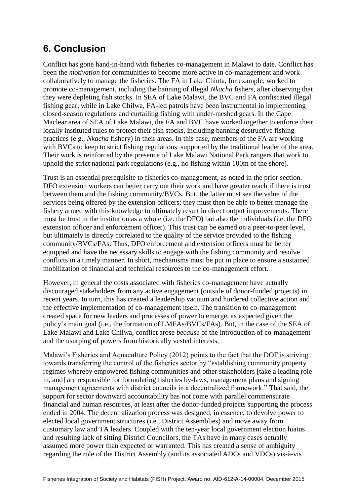## <span id="page-27-0"></span>**6. Conclusion**

Conflict has gone hand-in-hand with fisheries co-management in Malawi to date. Conflict has been the *motivation* for communities to become more active in co-management and work collaboratively to manage the fisheries. The FA in Lake Chiuta, for example, worked to promote co-management, including the banning of illegal *Nkacha* fishers, after observing that they were depleting fish stocks. In SEA of Lake Malawi, the BVC and FA confiscated illegal fishing gear, while in Lake Chilwa, FA-led patrols have been instrumental in implementing closed-season regulations and curtailing fishing with under-meshed gears. In the Cape Maclear area of SEA of Lake Malawi, the FA and BVC have worked together to enforce their locally instituted rules to protect their fish stocks, including banning destructive fishing practices (e.g., *Nkacha* fishery) in their areas. In this case, members of the FA are working with BVCs to keep to strict fishing regulations, supported by the traditional leader of the area. Their work is reinforced by the presence of Lake Malawi National Park rangers that work to uphold the strict national park regulations (e.g., no fishing within 100m of the shore).

Trust is an essential prerequisite to fisheries co-management, as noted in the prior section. DFO extension workers can better carry out their work and have greater reach if there is trust between them and the fishing community/BVCs. But, the latter must see the value of the services being offered by the extension officers; they must then be able to better manage the fishery armed with this knowledge to ultimately result in direct output improvements. There must be trust in the institution as a whole (i.e. the DFO) but also the individuals (i.e. the DFO extension officer and enforcement officer). This trust can be earned on a peer-to-peer level, but ultimately is directly correlated to the quality of the service provided to the fishing community/BVCs/FAs. Thus, DFO enforcement and extension officers must be better equipped and have the necessary skills to engage with the fishing community and resolve conflicts in a timely manner. In short, mechanisms must be put in place to ensure a sustained mobilization of financial and technical resources to the co-management effort.

However, in general the costs associated with fisheries co-management have actually discouraged stakeholders from any active engagement (outside of donor-funded projects) in recent years. In turn, this has created a leadership vacuum and hindered collective action and the effective implementation of co-management itself. The transition to co-management created space for new leaders and processes of power to emerge, as expected given the policy's main goal (i.e., the formation of LMFAs/BVCs/FAs). But, in the case of the SEA of Lake Malawi and Lake Chilwa, conflict arose *because* of the introduction of co-management and the usurping of powers from historically vested interests.

Malawi's Fisheries and Aquaculture Policy (2012) points to the fact that the DOF is striving towards transferring the control of the fisheries sector by "establishing community property regimes whereby empowered fishing communities and other stakeholders [take a leading role in, and] are responsible for formulating fisheries by-laws, management plans and signing management agreements with district councils in a decentralized framework." That said, the support for sector downward accountability has not come with parallel commensurate financial and human resources, at least after the donor-funded projects supporting the process ended in 2004. The decentralization process was designed, in essence, to devolve power to elected local government structures (i.e., District Assemblies) and move away from customary law and TA leaders. Coupled with the ten-year local government election hiatus and resulting lack of sitting District Councilors, the TAs have in many cases actually assumed more power than expected or warranted. This has created a sense of ambiguity regarding the role of the District Assembly (and its associated ADCs and VDCs) vis-à-vis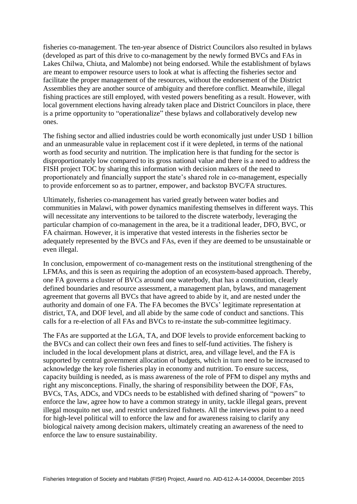fisheries co-management. The ten-year absence of District Councilors also resulted in bylaws (developed as part of this drive to co-management by the newly formed BVCs and FAs in Lakes Chilwa, Chiuta, and Malombe) not being endorsed. While the establishment of bylaws are meant to empower resource users to look at what is affecting the fisheries sector and facilitate the proper management of the resources, without the endorsement of the District Assemblies they are another source of ambiguity and therefore conflict. Meanwhile, illegal fishing practices are still employed, with vested powers benefiting as a result. However, with local government elections having already taken place and District Councilors in place, there is a prime opportunity to "operationalize" these bylaws and collaboratively develop new ones.

The fishing sector and allied industries could be worth economically just under USD 1 billion and an unmeasurable value in replacement cost if it were depleted, in terms of the national worth as food security and nutrition. The implication here is that funding for the sector is disproportionately low compared to its gross national value and there is a need to address the FISH project TOC by sharing this information with decision makers of the need to proportionately and financially support the state's shared role in co-management, especially to provide enforcement so as to partner, empower, and backstop BVC/FA structures.

Ultimately, fisheries co-management has varied greatly between water bodies and communities in Malawi, with power dynamics manifesting themselves in different ways. This will necessitate any interventions to be tailored to the discrete waterbody, leveraging the particular champion of co-management in the area, be it a traditional leader, DFO, BVC, or FA chairman. However, it is imperative that vested interests in the fisheries sector be adequately represented by the BVCs and FAs, even if they are deemed to be unsustainable or even illegal.

In conclusion, empowerment of co-management rests on the institutional strengthening of the LFMAs, and this is seen as requiring the adoption of an ecosystem-based approach. Thereby, one FA governs a cluster of BVCs around one waterbody, that has a constitution, clearly defined boundaries and resource assessment, a management plan, bylaws, and management agreement that governs all BVCs that have agreed to abide by it, and are nested under the authority and domain of one FA. The FA becomes the BVCs' legitimate representation at district, TA, and DOF level, and all abide by the same code of conduct and sanctions. This calls for a re-election of all FAs and BVCs to re-instate the sub-committee legitimacy.

The FAs are supported at the LGA, TA, and DOF levels to provide enforcement backing to the BVCs and can collect their own fees and fines to self-fund activities. The fishery is included in the local development plans at district, area, and village level, and the FA is supported by central government allocation of budgets, which in turn need to be increased to acknowledge the key role fisheries play in economy and nutrition. To ensure success, capacity building is needed, as is mass awareness of the role of PFM to dispel any myths and right any misconceptions. Finally, the sharing of responsibility between the DOF, FAs, BVCs, TAs, ADCs, and VDCs needs to be established with defined sharing of "powers" to enforce the law, agree how to have a common strategy in unity, tackle illegal gears, prevent illegal mosquito net use, and restrict undersized fishnets. All the interviews point to a need for high-level political will to enforce the law and for awareness raising to clarify any biological naivety among decision makers, ultimately creating an awareness of the need to enforce the law to ensure sustainability.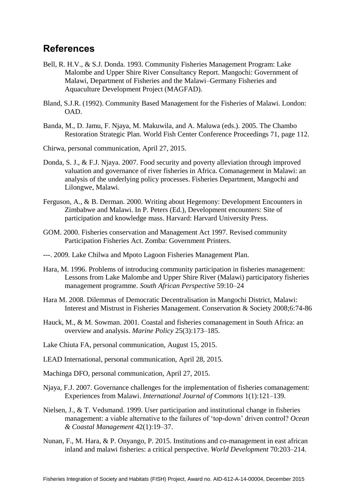## <span id="page-29-0"></span>**References**

- Bell, R. H.V., & S.J. Donda. 1993. Community Fisheries Management Program: Lake Malombe and Upper Shire River Consultancy Report. Mangochi: Government of Malawi, Department of Fisheries and the Malawi–Germany Fisheries and Aquaculture Development Project (MAGFAD).
- Bland, S.J.R. (1992). Community Based Management for the Fisheries of Malawi. London: OAD.
- Banda, M., D. Jamu, F. Njaya, M. Makuwila, and A. Maluwa (eds.). 2005. The Chambo Restoration Strategic Plan. World Fish Center Conference Proceedings 71, page 112.
- Chirwa, personal communication, April 27, 2015.
- Donda, S. J., & F.J. Njaya. 2007. Food security and poverty alleviation through improved valuation and governance of river fisheries in Africa. Comanagement in Malawi: an analysis of the underlying policy processes. Fisheries Department, Mangochi and Lilongwe, Malawi.
- Ferguson, A., & B. Derman. 2000. Writing about Hegemony: Development Encounters in Zimbabwe and Malawi. In P. Peters (Ed.), Development encounters: Site of participation and knowledge mass. Harvard: Harvard University Press.
- GOM. 2000. Fisheries conservation and Management Act 1997. Revised community Participation Fisheries Act. Zomba: Government Printers.
- ---. 2009. Lake Chilwa and Mpoto Lagoon Fisheries Management Plan.
- Hara, M. 1996. Problems of introducing community participation in fisheries management: Lessons from Lake Malombe and Upper Shire River (Malawi) participatory fisheries management programme. *South African Perspective* 59:10–24
- Hara M. 2008. Dilemmas of Democratic Decentralisation in Mangochi District, Malawi: Interest and Mistrust in Fisheries Management. Conservation & Society 2008;6:74-86
- Hauck, M., & M. Sowman. 2001. Coastal and fisheries comanagement in South Africa: an overview and analysis. *Marine Policy* 25(3):173–185.
- Lake Chiuta FA, personal communication, August 15, 2015.
- LEAD International, personal communication, April 28, 2015.
- Machinga DFO, personal communication, April 27, 2015.
- Njaya, F.J. 2007. Governance challenges for the implementation of fisheries comanagement: Experiences from Malawi. *International Journal of Commons* 1(1):121–139.
- Nielsen, J., & T. Vedsmand. 1999. User participation and institutional change in fisheries management: a viable alternative to the failures of 'top-down' driven control? *Ocean & Coastal Management* 42(1):19–37.
- Nunan, F., M. Hara, & P. Onyango, P. 2015. Institutions and co-management in east african inland and malawi fisheries: a critical perspective. *World Development* 70:203–214.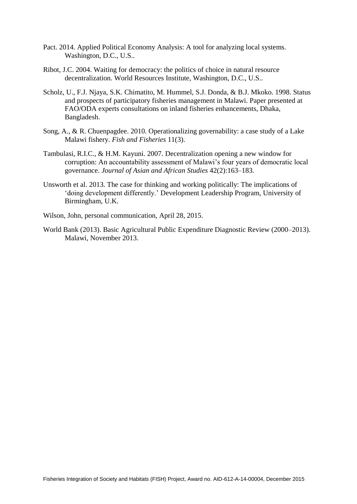- Pact. 2014. Applied Political Economy Analysis: A tool for analyzing local systems. Washington, D.C., U.S..
- Ribot, J.C. 2004. Waiting for democracy: the politics of choice in natural resource decentralization. World Resources Institute, Washington, D.C., U.S..
- Scholz, U., F.J. Njaya, S.K. Chimatito, M. Hummel, S.J. Donda, & B.J. Mkoko. 1998. Status and prospects of participatory fisheries management in Malawi. Paper presented at FAO/ODA experts consultations on inland fisheries enhancements, Dhaka, Bangladesh.
- Song, A., & R. Chuenpagdee. 2010. Operationalizing governability: a case study of a Lake Malawi fishery. *Fish and Fisheries* 11(3).
- Tambulasi, R.I.C., & H.M. Kayuni. 2007. Decentralization opening a new window for corruption: An accountability assessment of Malawi's four years of democratic local governance. *Journal of Asian and African Studies* 42(2):163–183.
- Unsworth et al. 2013. The case for thinking and working politically: The implications of 'doing development differently.' Development Leadership Program, University of Birmingham, U.K.
- Wilson, John, personal communication, April 28, 2015.
- World Bank (2013). Basic Agricultural Public Expenditure Diagnostic Review (2000–2013). Malawi, November 2013.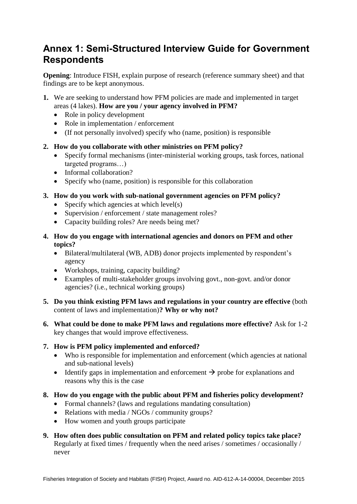## <span id="page-31-1"></span><span id="page-31-0"></span>**Annex 1: Semi-Structured Interview Guide for Government Respondents**

**Opening**: Introduce FISH, explain purpose of research (reference summary sheet) and that findings are to be kept anonymous.

- **1.** We are seeking to understand how PFM policies are made and implemented in target areas (4 lakes). **How are you / your agency involved in PFM?**
	- Role in policy development
	- Role in implementation / enforcement
	- (If not personally involved) specify who (name, position) is responsible

### **2. How do you collaborate with other ministries on PFM policy?**

- Specify formal mechanisms (inter-ministerial working groups, task forces, national targeted programs…)
- Informal collaboration?
- Specify who (name, position) is responsible for this collaboration
- **3. How do you work with sub-national government agencies on PFM policy?**
	- Specify which agencies at which  $level(s)$
	- Supervision / enforcement / state management roles?
	- Capacity building roles? Are needs being met?
- **4. How do you engage with international agencies and donors on PFM and other topics?**
	- Bilateral/multilateral (WB, ADB) donor projects implemented by respondent's agency
	- Workshops, training, capacity building?
	- Examples of multi-stakeholder groups involving govt., non-govt. and/or donor agencies? (i.e., technical working groups)
- **5. Do you think existing PFM laws and regulations in your country are effective** (both content of laws and implementation)**? Why or why not?**
- **6. What could be done to make PFM laws and regulations more effective?** Ask for 1-2 key changes that would improve effectiveness.

### **7. How is PFM policy implemented and enforced?**

- Who is responsible for implementation and enforcement (which agencies at national and sub-national levels)
- Identify gaps in implementation and enforcement  $\rightarrow$  probe for explanations and reasons why this is the case
- **8. How do you engage with the public about PFM and fisheries policy development?** 
	- Formal channels? (laws and regulations mandating consultation)
	- Relations with media / NGOs / community groups?
	- How women and youth groups participate
- **9. How often does public consultation on PFM and related policy topics take place?**  Regularly at fixed times / frequently when the need arises / sometimes / occasionally / never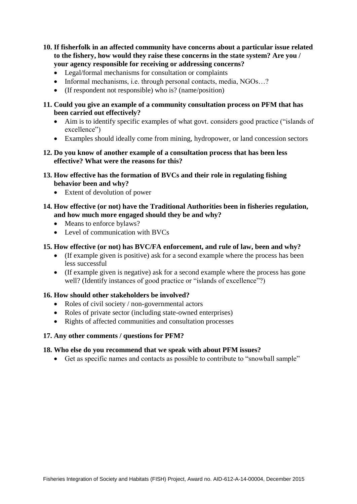- **10. If fisherfolk in an affected community have concerns about a particular issue related to the fishery, how would they raise these concerns in the state system? Are you / your agency responsible for receiving or addressing concerns?** 
	- Legal/formal mechanisms for consultation or complaints
	- Informal mechanisms, i.e. through personal contacts, media, NGOs...?
	- (If respondent not responsible) who is? (name/position)
- **11. Could you give an example of a community consultation process on PFM that has been carried out effectively?**
	- Aim is to identify specific examples of what govt. considers good practice ("islands of excellence")
	- Examples should ideally come from mining, hydropower, or land concession sectors
- **12. Do you know of another example of a consultation process that has been less effective? What were the reasons for this?**
- **13. How effective has the formation of BVCs and their role in regulating fishing behavior been and why?** 
	- Extent of devolution of power
- **14. How effective (or not) have the Traditional Authorities been in fisheries regulation, and how much more engaged should they be and why?** 
	- Means to enforce bylaws?
	- Level of communication with BVCs

#### **15. How effective (or not) has BVC/FA enforcement, and rule of law, been and why?**

- (If example given is positive) ask for a second example where the process has been less successful
- (If example given is negative) ask for a second example where the process has gone well? (Identify instances of good practice or "islands of excellence"?)

#### **16. How should other stakeholders be involved?**

- Roles of civil society / non-governmental actors
- Roles of private sector (including state-owned enterprises)
- Rights of affected communities and consultation processes

#### **17. Any other comments / questions for PFM?**

#### **18. Who else do you recommend that we speak with about PFM issues?**

Get as specific names and contacts as possible to contribute to "snowball sample"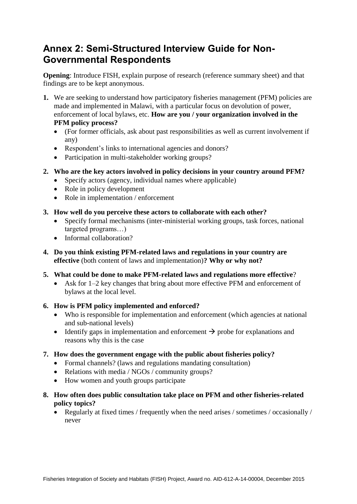## <span id="page-33-0"></span>**Annex 2: Semi-Structured Interview Guide for Non-Governmental Respondents**

**Opening**: Introduce FISH, explain purpose of research (reference summary sheet) and that findings are to be kept anonymous.

- **1.** We are seeking to understand how participatory fisheries management (PFM) policies are made and implemented in Malawi, with a particular focus on devolution of power, enforcement of local bylaws, etc. **How are you / your organization involved in the PFM policy process?**
	- (For former officials, ask about past responsibilities as well as current involvement if any)
	- Respondent's links to international agencies and donors?
	- Participation in multi-stakeholder working groups?
- **2. Who are the key actors involved in policy decisions in your country around PFM?**
	- Specify actors (agency, individual names where applicable)
	- Role in policy development
	- Role in implementation / enforcement
- **3. How well do you perceive these actors to collaborate with each other?**
	- Specify formal mechanisms (inter-ministerial working groups, task forces, national targeted programs…)
	- Informal collaboration?
- **4. Do you think existing PFM-related laws and regulations in your country are effective** (both content of laws and implementation)**? Why or why not?**
- **5. What could be done to make PFM-related laws and regulations more effective**?
	- Ask for 1–2 key changes that bring about more effective PFM and enforcement of bylaws at the local level.
- **6. How is PFM policy implemented and enforced?**
	- Who is responsible for implementation and enforcement (which agencies at national and sub-national levels)
	- Identify gaps in implementation and enforcement  $\rightarrow$  probe for explanations and reasons why this is the case
- **7. How does the government engage with the public about fisheries policy?**
	- Formal channels? (laws and regulations mandating consultation)
	- Relations with media / NGOs / community groups?
	- How women and youth groups participate
- **8. How often does public consultation take place on PFM and other fisheries-related policy topics?**
	- Regularly at fixed times / frequently when the need arises / sometimes / occasionally / never